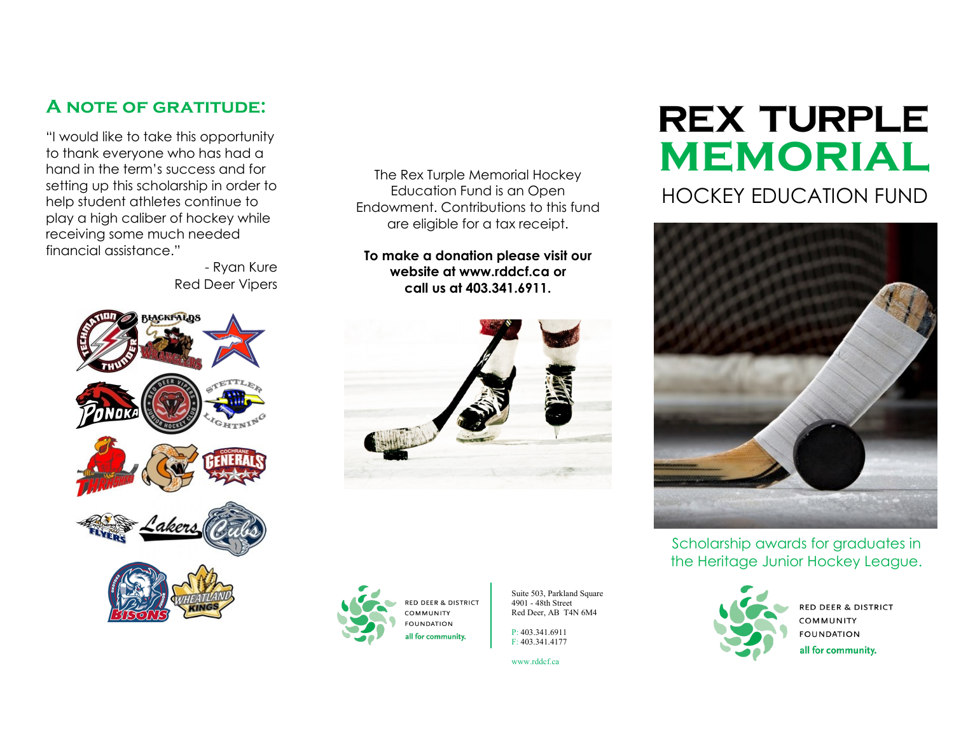## **A note of gratitude:**

"I would like to take this opportunity to thank everyone who has had a hand in the term's success and for setting up this scholarship in order to help student athletes continue to play a high caliber of hockey while receiving some much needed financial assistance."

- Ryan Kure Red Deer Vipers



The Rex Turple Memorial Hockey Education Fund is an Open Endowment. Contributions to this fund are eligible for a tax receipt.

**To make a donation please visit our website at www.rddcf.ca or call us at 403.341.6911.**





Suite 503, Parkland Square 4901 - 48th Street Red Deer, AB T4N 6M4

P: 403.341.6911 F: 403.341.4177

www.rddcf.ca

## **memorial REX TURPLE** HOCKEY EDUCATION FUND



Scholarship awards for graduates in the Heritage Junior Hockey League.



**RED DEER & DISTRICT** COMMUNITY **FOUNDATION** all for community.